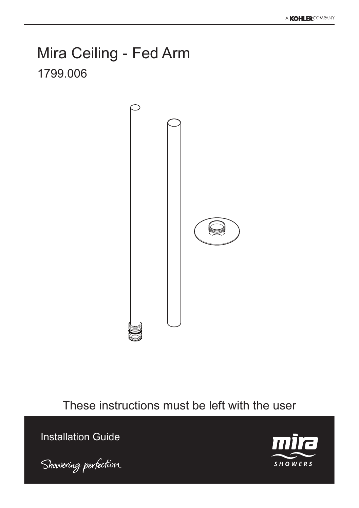## Mira Ceiling - Fed Arm 1799.006



These instructions must be left with the user

Installation Guide



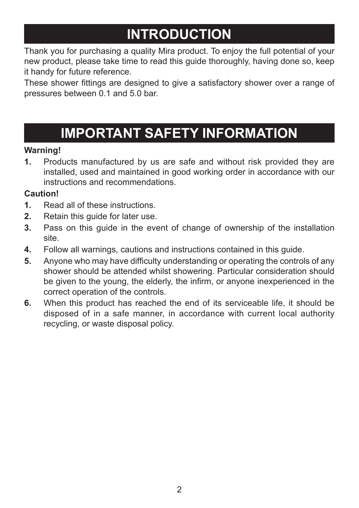# **INTRODUCTION**

Thank you for purchasing a quality Mira product. To enjoy the full potential of your new product, please take time to read this guide thoroughly, having done so, keep it handy for future reference.

These shower fittings are designed to give a satisfactory shower over a range of pressures between 0.1 and 5.0 bar.

# **IMPORTANT SAFETY INFORMATION**

### **Warning!**

**1.** Products manufactured by us are safe and without risk provided they are installed, used and maintained in good working order in accordance with our instructions and recommendations.

### **Caution!**

- **1.** Read all of these instructions.
- **2.** Retain this guide for later use.
- **3.** Pass on this guide in the event of change of ownership of the installation site.
- **4.** Follow all warnings, cautions and instructions contained in this guide.
- **5.** Anyone who may have difficulty understanding or operating the controls of any shower should be attended whilst showering. Particular consideration should be given to the young, the elderly, the infirm, or anyone inexperienced in the correct operation of the controls.
- **6.** When this product has reached the end of its serviceable life, it should be disposed of in a safe manner, in accordance with current local authority recycling, or waste disposal policy.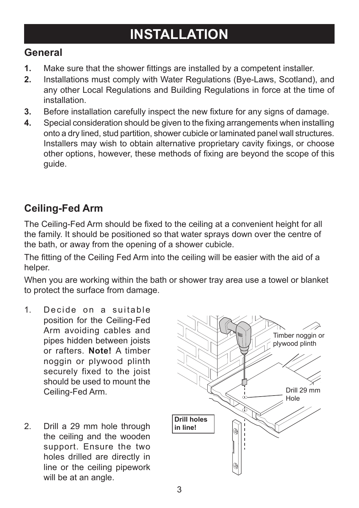## **INSTALLATION**

### **General**

- **1.** Make sure that the shower fittings are installed by a competent installer.
- **2.** Installations must comply with Water Regulations (Bye-Laws, Scotland), and any other Local Regulations and Building Regulations in force at the time of installation.
- **3.** Before installation carefully inspect the new fixture for any signs of damage.
- **4.** Special consideration should be given to the fixing arrangements when installing onto a dry lined, stud partition, shower cubicle or laminated panel wall structures. Installers may wish to obtain alternative proprietary cavity fixings, or choose other options, however, these methods of fixing are beyond the scope of this guide.

## **Ceiling-Fed Arm**

The Ceiling-Fed Arm should be fixed to the ceiling at a convenient height for all the family. It should be positioned so that water sprays down over the centre of the bath, or away from the opening of a shower cubicle.

The fitting of the Ceiling Fed Arm into the ceiling will be easier with the aid of a helper.

When you are working within the bath or shower tray area use a towel or blanket to protect the surface from damage.

- 1. Decide on a suitable position for the Ceiling-Fed Arm avoiding cables and pipes hidden between joists or rafters. **Note!** A timber noggin or plywood plinth securely fixed to the joist should be used to mount the Ceiling-Fed Arm.
- 2. Drill a 29 mm hole through the ceiling and the wooden support. Ensure the two holes drilled are directly in line or the ceiling pipework will be at an angle.

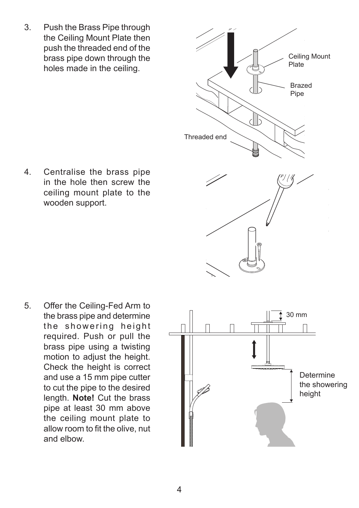3. Push the Brass Pipe through the Ceiling Mount Plate then push the threaded end of the brass pipe down through the holes made in the ceiling.

4. Centralise the brass pipe in the hole then screw the ceiling mount plate to the wooden support.

5. Offer the Ceiling-Fed Arm to the brass pipe and determine the showering height required. Push or pull the brass pipe using a twisting motion to adjust the height. Check the height is correct and use a 15 mm pipe cutter to cut the pipe to the desired length. **Note!** Cut the brass pipe at least 30 mm above the ceiling mount plate to allow room to fit the olive, nut and elbow.



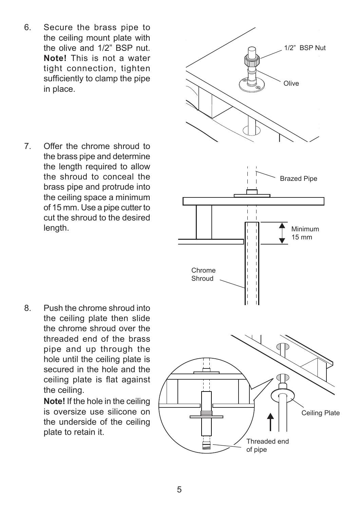- 6. Secure the brass pipe to the ceiling mount plate with the olive and 1/2" BSP nut. **Note!** This is not a water tight connection, tighten sufficiently to clamp the pipe in place.
- 7. Offer the chrome shroud to the brass pipe and determine the length required to allow the shroud to conceal the brass pipe and protrude into the ceiling space a minimum of 15 mm. Use a pipe cutter to cut the shroud to the desired length.

8. Push the chrome shroud into the ceiling plate then slide the chrome shroud over the threaded end of the brass pipe and up through the hole until the ceiling plate is secured in the hole and the ceiling plate is flat against the ceiling.

> **Note!** If the hole in the ceiling is oversize use silicone on the underside of the ceiling plate to retain it.

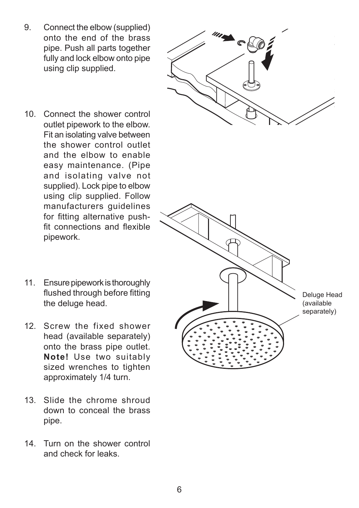- 9. Connect the elbow (supplied) onto the end of the brass pipe. Push all parts together fully and lock elbow onto pipe using clip supplied.
- 
- 10. Connect the shower control outlet pipework to the elbow. Fit an isolating valve between the shower control outlet and the elbow to enable easy maintenance. (Pipe and isolating valve not supplied). Lock pipe to elbow using clip supplied. Follow manufacturers guidelines for fitting alternative pushfit connections and flexible pipework.
- 

Deluge Head (available separately)

- 11. Ensure pipework is thoroughly flushed through before fitting the deluge head.
- 12. Screw the fixed shower head (available separately) onto the brass pipe outlet. **Note!** Use two suitably sized wrenches to tighten approximately 1/4 turn.
- 13. Slide the chrome shroud down to conceal the brass pipe.
- 14. Turn on the shower control and check for leaks.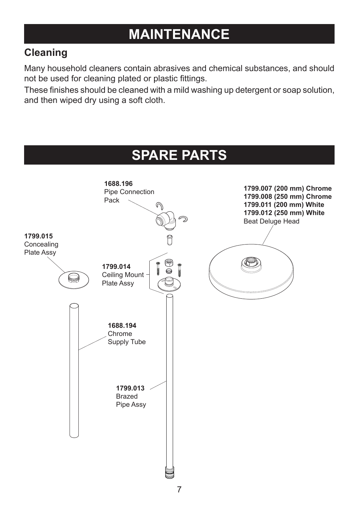## **MAINTENANCE**

## **Cleaning**

Many household cleaners contain abrasives and chemical substances, and should not be used for cleaning plated or plastic fittings.

These finishes should be cleaned with a mild washing up detergent or soap solution, and then wiped dry using a soft cloth.